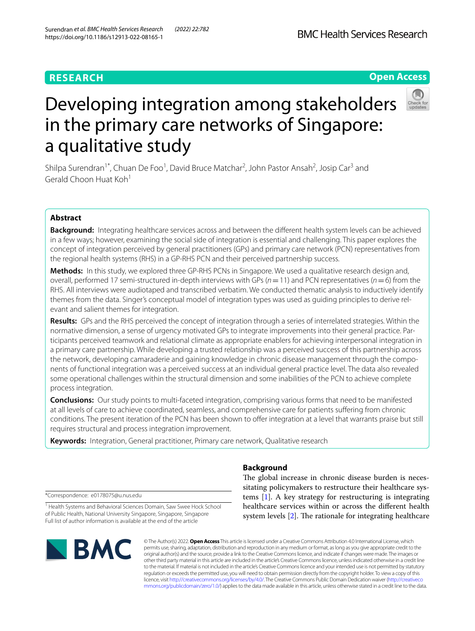# **RESEARCH**

# **Open Access**



# Developing integration among stakeholders in the primary care networks of Singapore: a qualitative study

Shilpa Surendran<sup>1\*</sup>, Chuan De Foo<sup>1</sup>, David Bruce Matchar<sup>2</sup>, John Pastor Ansah<sup>2</sup>, Josip Car<sup>3</sup> and Gerald Choon Huat Koh<sup>1</sup>

# **Abstract**

**Background:** Integrating healthcare services across and between the diferent health system levels can be achieved in a few ways; however, examining the social side of integration is essential and challenging. This paper explores the concept of integration perceived by general practitioners (GPs) and primary care network (PCN) representatives from the regional health systems (RHS) in a GP-RHS PCN and their perceived partnership success.

**Methods:** In this study, we explored three GP-RHS PCNs in Singapore. We used a qualitative research design and, overall, performed 17 semi-structured in-depth interviews with GPs (*n*=11) and PCN representatives (*n*=6) from the RHS. All interviews were audiotaped and transcribed verbatim. We conducted thematic analysis to inductively identify themes from the data. Singer's conceptual model of integration types was used as guiding principles to derive relevant and salient themes for integration.

**Results:** GPs and the RHS perceived the concept of integration through a series of interrelated strategies. Within the normative dimension, a sense of urgency motivated GPs to integrate improvements into their general practice. Participants perceived teamwork and relational climate as appropriate enablers for achieving interpersonal integration in a primary care partnership. While developing a trusted relationship was a perceived success of this partnership across the network, developing camaraderie and gaining knowledge in chronic disease management through the components of functional integration was a perceived success at an individual general practice level. The data also revealed some operational challenges within the structural dimension and some inabilities of the PCN to achieve complete process integration.

**Conclusions:** Our study points to multi-faceted integration, comprising various forms that need to be manifested at all levels of care to achieve coordinated, seamless, and comprehensive care for patients sufering from chronic conditions. The present iteration of the PCN has been shown to offer integration at a level that warrants praise but still requires structural and process integration improvement.

**Keywords:** Integration, General practitioner, Primary care network, Qualitative research

\*Correspondence: e0178075@u.nus.edu

<sup>1</sup> Health Systems and Behavioral Sciences Domain, Saw Swee Hock School of Public Health, National University Singapore, Singapore, Singapore Full list of author information is available at the end of the article



© The Author(s) 2022. **Open Access** This article is licensed under a Creative Commons Attribution 4.0 International License, which permits use, sharing, adaptation, distribution and reproduction in any medium or format, as long as you give appropriate credit to the original author(s) and the source, provide a link to the Creative Commons licence, and indicate if changes were made. The images or other third party material in this article are included in the article's Creative Commons licence, unless indicated otherwise in a credit line to the material. If material is not included in the article's Creative Commons licence and your intended use is not permitted by statutory regulation or exceeds the permitted use, you will need to obtain permission directly from the copyright holder. To view a copy of this licence, visit [http://creativecommons.org/licenses/by/4.0/.](http://creativecommons.org/licenses/by/4.0/) The Creative Commons Public Domain Dedication waiver ([http://creativeco](http://creativecommons.org/publicdomain/zero/1.0/) [mmons.org/publicdomain/zero/1.0/](http://creativecommons.org/publicdomain/zero/1.0/)) applies to the data made available in this article, unless otherwise stated in a credit line to the data.

# **Background**

The global increase in chronic disease burden is necessitating policymakers to restructure their healthcare systems [\[1](#page-8-0)]. A key strategy for restructuring is integrating healthcare services within or across the diferent health system levels  $[2]$ . The rationale for integrating healthcare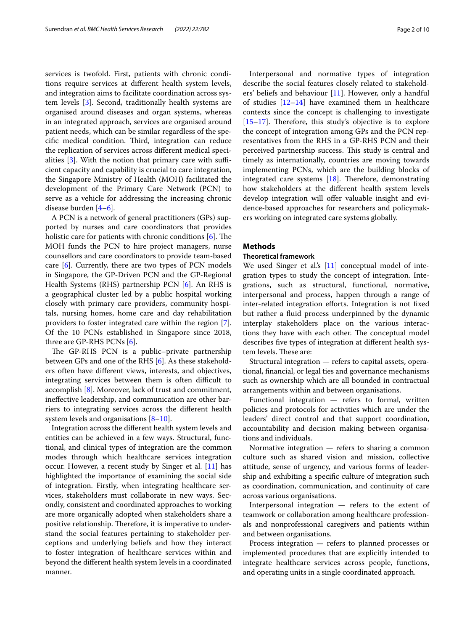services is twofold. First, patients with chronic conditions require services at diferent health system levels, and integration aims to facilitate coordination across system levels [[3\]](#page-8-2). Second, traditionally health systems are organised around diseases and organ systems, whereas in an integrated approach, services are organised around patient needs, which can be similar regardless of the specific medical condition. Third, integration can reduce the replication of services across diferent medical specialities  $[3]$  $[3]$ . With the notion that primary care with sufficient capacity and capability is crucial to care integration, the Singapore Ministry of Health (MOH) facilitated the development of the Primary Care Network (PCN) to serve as a vehicle for addressing the increasing chronic disease burden [\[4](#page-8-3)–[6\]](#page-8-4).

A PCN is a network of general practitioners (GPs) supported by nurses and care coordinators that provides holistic care for patients with chronic conditions  $[6]$  $[6]$ . The MOH funds the PCN to hire project managers, nurse counsellors and care coordinators to provide team-based care [[6\]](#page-8-4). Currently, there are two types of PCN models in Singapore, the GP-Driven PCN and the GP-Regional Health Systems (RHS) partnership PCN [[6\]](#page-8-4). An RHS is a geographical cluster led by a public hospital working closely with primary care providers, community hospitals, nursing homes, home care and day rehabilitation providers to foster integrated care within the region [\[7](#page-8-5)]. Of the 10 PCNs established in Singapore since 2018, three are GP-RHS PCNs [[6\]](#page-8-4).

The GP-RHS PCN is a public-private partnership between GPs and one of the RHS [[6\]](#page-8-4). As these stakeholders often have diferent views, interests, and objectives, integrating services between them is often difficult to accomplish [[8](#page-8-6)]. Moreover, lack of trust and commitment, inefective leadership, and communication are other barriers to integrating services across the diferent health system levels and organisations  $[8-10]$  $[8-10]$  $[8-10]$ .

Integration across the diferent health system levels and entities can be achieved in a few ways. Structural, functional, and clinical types of integration are the common modes through which healthcare services integration occur. However, a recent study by Singer et al. [\[11](#page-8-8)] has highlighted the importance of examining the social side of integration. Firstly, when integrating healthcare services, stakeholders must collaborate in new ways. Secondly, consistent and coordinated approaches to working are more organically adopted when stakeholders share a positive relationship. Therefore, it is imperative to understand the social features pertaining to stakeholder perceptions and underlying beliefs and how they interact to foster integration of healthcare services within and beyond the diferent health system levels in a coordinated manner.

Interpersonal and normative types of integration describe the social features closely related to stakeholders' beliefs and behaviour [[11](#page-8-8)]. However, only a handful of studies [\[12](#page-8-9)[–14](#page-9-0)] have examined them in healthcare contexts since the concept is challenging to investigate  $[15–17]$  $[15–17]$  $[15–17]$ . Therefore, this study's objective is to explore the concept of integration among GPs and the PCN representatives from the RHS in a GP-RHS PCN and their perceived partnership success. This study is central and timely as internationally, countries are moving towards implementing PCNs, which are the building blocks of integrated care systems  $[18]$  $[18]$ . Therefore, demonstrating how stakeholders at the diferent health system levels develop integration will offer valuable insight and evidence-based approaches for researchers and policymakers working on integrated care systems globally.

## **Methods**

## **Theoretical framework**

We used Singer et al's  $[11]$  $[11]$  conceptual model of integration types to study the concept of integration. Integrations, such as structural, functional, normative, interpersonal and process, happen through a range of inter-related integration efforts. Integration is not fixed but rather a fuid process underpinned by the dynamic interplay stakeholders place on the various interactions they have with each other. The conceptual model describes fve types of integration at diferent health system levels. These are:

Structural integration — refers to capital assets, operational, fnancial, or legal ties and governance mechanisms such as ownership which are all bounded in contractual arrangements within and between organisations.

Functional integration — refers to formal, written policies and protocols for activities which are under the leaders' direct control and that support coordination, accountability and decision making between organisations and individuals.

Normative integration — refers to sharing a common culture such as shared vision and mission, collective attitude, sense of urgency, and various forms of leadership and exhibiting a specifc culture of integration such as coordination, communication, and continuity of care across various organisations.

Interpersonal integration — refers to the extent of teamwork or collaboration among healthcare professionals and nonprofessional caregivers and patients within and between organisations.

Process integration — refers to planned processes or implemented procedures that are explicitly intended to integrate healthcare services across people, functions, and operating units in a single coordinated approach.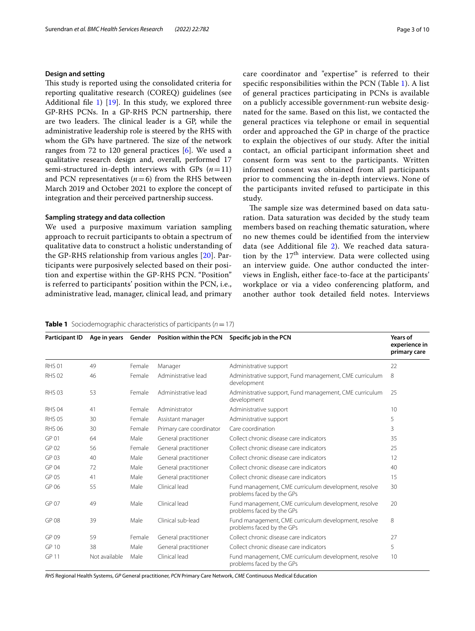## **Design and setting**

This study is reported using the consolidated criteria for reporting qualitative research (COREQ) guidelines (see Additional file [1](#page-8-10))  $[19]$  $[19]$ . In this study, we explored three GP-RHS PCNs. In a GP-RHS PCN partnership, there are two leaders. The clinical leader is a GP, while the administrative leadership role is steered by the RHS with whom the GPs have partnered. The size of the network ranges from 72 to 120 general practices [[6\]](#page-8-4). We used a qualitative research design and, overall, performed 17 semi-structured in-depth interviews with GPs  $(n=11)$ and PCN representatives  $(n=6)$  from the RHS between March 2019 and October 2021 to explore the concept of integration and their perceived partnership success.

## **Sampling strategy and data collection**

We used a purposive maximum variation sampling approach to recruit participants to obtain a spectrum of qualitative data to construct a holistic understanding of the GP-RHS relationship from various angles [\[20\]](#page-9-5). Participants were purposively selected based on their position and expertise within the GP-RHS PCN. "Position" is referred to participants' position within the PCN, i.e., administrative lead, manager, clinical lead, and primary care coordinator and "expertise" is referred to their specifc responsibilities within the PCN (Table [1](#page-2-0)). A list of general practices participating in PCNs is available on a publicly accessible government-run website designated for the same. Based on this list, we contacted the general practices via telephone or email in sequential order and approached the GP in charge of the practice to explain the objectives of our study. After the initial contact, an official participant information sheet and consent form was sent to the participants. Written informed consent was obtained from all participants prior to commencing the in-depth interviews. None of the participants invited refused to participate in this study.

The sample size was determined based on data saturation. Data saturation was decided by the study team members based on reaching thematic saturation, where no new themes could be identifed from the interview data (see Additional fle [2](#page-8-11)). We reached data saturation by the  $17<sup>th</sup>$  interview. Data were collected using an interview guide. One author conducted the interviews in English, either face-to-face at the participants' workplace or via a video conferencing platform, and another author took detailed feld notes. Interviews

#### <span id="page-2-0"></span>**Table 1** Sociodemographic characteristics of participants  $(n = 17)$

| Participant ID   | Age in years  |        | Gender Position within the PCN | Specific job in the PCN                                                           | Years of<br>experience in<br>primary care |
|------------------|---------------|--------|--------------------------------|-----------------------------------------------------------------------------------|-------------------------------------------|
| <b>RHS 01</b>    | 49            | Female | Manager                        | Administrative support                                                            | 22                                        |
| <b>RHS 02</b>    | 46            | Female | Administrative lead            | Administrative support, Fund management, CME curriculum<br>development            | 8                                         |
| <b>RHS 03</b>    | 53            | Female | Administrative lead            | Administrative support, Fund management, CME curriculum<br>development            | 25                                        |
| <b>RHS 04</b>    | 41            | Female | Administrator                  | Administrative support                                                            | 10                                        |
| <b>RHS 05</b>    | 30            | Female | Assistant manager              | Administrative support                                                            | 5                                         |
| <b>RHS 06</b>    | 30            | Female | Primary care coordinator       | Care coordination                                                                 | 3                                         |
| GP <sub>01</sub> | 64            | Male   | General practitioner           | Collect chronic disease care indicators                                           | 35                                        |
| GP 02            | 56            | Female | General practitioner           | Collect chronic disease care indicators                                           | 25                                        |
| GP <sub>03</sub> | 40            | Male   | General practitioner           | Collect chronic disease care indicators                                           | 12                                        |
| GP <sub>04</sub> | 72            | Male   | General practitioner           | Collect chronic disease care indicators                                           | 40                                        |
| GP <sub>05</sub> | 41            | Male   | General practitioner           | Collect chronic disease care indicators                                           | 15                                        |
| GP 06            | 55            | Male   | Clinical lead                  | Fund management, CME curriculum development, resolve<br>problems faced by the GPs | 30                                        |
| GP <sub>07</sub> | 49            | Male   | Clinical lead                  | Fund management, CME curriculum development, resolve<br>problems faced by the GPs | 20                                        |
| GP 08            | 39            | Male   | Clinical sub-lead              | Fund management, CME curriculum development, resolve<br>problems faced by the GPs | 8                                         |
| GP 09            | 59            | Female | General practitioner           | Collect chronic disease care indicators                                           | 27                                        |
| <b>GP 10</b>     | 38            | Male   | General practitioner           | Collect chronic disease care indicators                                           | 5                                         |
| <b>GP 11</b>     | Not available | Male   | Clinical lead                  | Fund management, CME curriculum development, resolve<br>problems faced by the GPs | 10                                        |

*RHS* Regional Health Systems, *GP* General practitioner, *PCN* Primary Care Network, *CME* Continuous Medical Education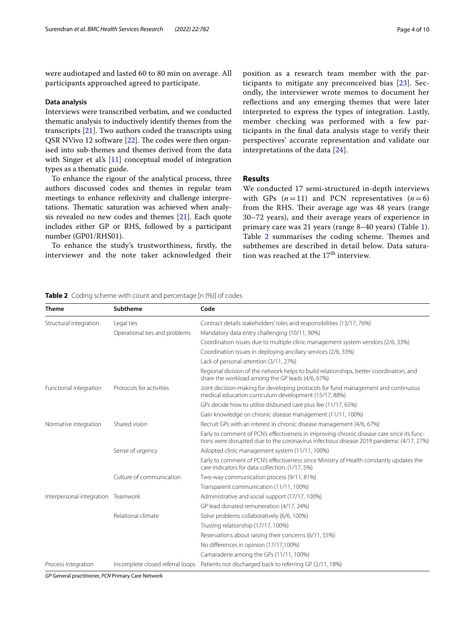were audiotaped and lasted 60 to 80 min on average. All participants approached agreed to participate.

#### **Data analysis**

Interviews were transcribed verbatim, and we conducted thematic analysis to inductively identify themes from the transcripts [[21\]](#page-9-6). Two authors coded the transcripts using QSR NVivo 12 software  $[22]$  $[22]$  $[22]$ . The codes were then organised into sub-themes and themes derived from the data with Singer et al's [\[11](#page-8-8)] conceptual model of integration types as a thematic guide.

To enhance the rigour of the analytical process, three authors discussed codes and themes in regular team meetings to enhance refexivity and challenge interpretations. Thematic saturation was achieved when analysis revealed no new codes and themes [[21\]](#page-9-6). Each quote includes either GP or RHS, followed by a participant number (GP01/RHS01).

To enhance the study's trustworthiness, frstly, the interviewer and the note taker acknowledged their position as a research team member with the participants to mitigate any preconceived bias [[23\]](#page-9-8). Secondly, the interviewer wrote memos to document her refections and any emerging themes that were later interpreted to express the types of integration. Lastly, member checking was performed with a few participants in the fnal data analysis stage to verify their perspectives' accurate representation and validate our interpretations of the data [[24\]](#page-9-9).

## **Results**

We conducted 17 semi-structured in-depth interviews with GPs  $(n=11)$  and PCN representatives  $(n=6)$ from the RHS. Their average age was 48 years (range 30–72 years), and their average years of experience in primary care was 21 years (range 8–40 years) (Table [1](#page-2-0)). Table [2](#page-3-0) summarises the coding scheme. Themes and subthemes are described in detail below. Data saturation was reached at the  $17<sup>th</sup>$  interview.

<span id="page-3-0"></span>**Table 2** Coding scheme with count and percentage [n (%)] of codes

| <b>Theme</b>                       | Subtheme                         | Code                                                                                                                                                                                  |
|------------------------------------|----------------------------------|---------------------------------------------------------------------------------------------------------------------------------------------------------------------------------------|
| Structural integration             | Legal ties                       | Contract details stakeholders' roles and responsibilities (13/17, 76%)                                                                                                                |
|                                    | Operational ties and problems    | Mandatory data entry challenging (10/11, 90%)                                                                                                                                         |
|                                    |                                  | Coordination issues due to multiple clinic management system vendors (2/6, 33%)                                                                                                       |
|                                    |                                  | Coordination issues in deploying ancillary services (2/6, 33%)                                                                                                                        |
|                                    |                                  | Lack of personal attention (3/11, 27%)                                                                                                                                                |
|                                    |                                  | Regional division of the network helps to build relationships, better coordination, and<br>share the workload among the GP leads (4/6, 67%)                                           |
| Functional integration             | Protocols for activities         | Joint decision-making for developing protocols for fund management and continuous<br>medical education curriculum development (15/17, 88%)                                            |
|                                    |                                  | GPs decide how to utilise disbursed care plus fee (11/17, 65%)                                                                                                                        |
|                                    |                                  | Gain knowledge on chronic disease management (11/11, 100%)                                                                                                                            |
| Normative integration              | Shared vision                    | Recruit GPs with an interest in chronic disease management (4/6, 67%)                                                                                                                 |
|                                    |                                  | Early to comment of PCN's effectiveness in improving chronic disease care since its func-<br>tions were disrupted due to the coronavirus infectious disease 2019 pandemic (4/17, 27%) |
|                                    | Sense of urgency                 | Adopted clinic management system (11/11, 100%)                                                                                                                                        |
|                                    |                                  | Early to comment of PCN's effectiveness since Ministry of Health constantly updates the<br>care indicators for data collection. (1/17, 5%)                                            |
|                                    | Culture of communication         | Two-way communication process (9/11, 81%)                                                                                                                                             |
|                                    |                                  | Transparent communication (11/11, 100%)                                                                                                                                               |
| Interpersonal integration Teamwork |                                  | Administrative and social support (17/17, 100%)                                                                                                                                       |
|                                    |                                  | GP lead donated remuneration (4/17, 24%)                                                                                                                                              |
|                                    | Relational climate               | Solve problems collaboratively (6/6, 100%)                                                                                                                                            |
|                                    |                                  | Trusting relationship (17/17, 100%)                                                                                                                                                   |
|                                    |                                  | Reservations about raising their concerns (6/11, 55%)                                                                                                                                 |
|                                    |                                  | No differences in opinion (17/17,100%)                                                                                                                                                |
|                                    |                                  | Camaraderie among the GPs (11/11, 100%)                                                                                                                                               |
| Process integration                | Incomplete closed referral loops | Patients not discharged back to referring GP (2/11, 18%)                                                                                                                              |

*GP* General practitioner, *PCN* Primary Care Network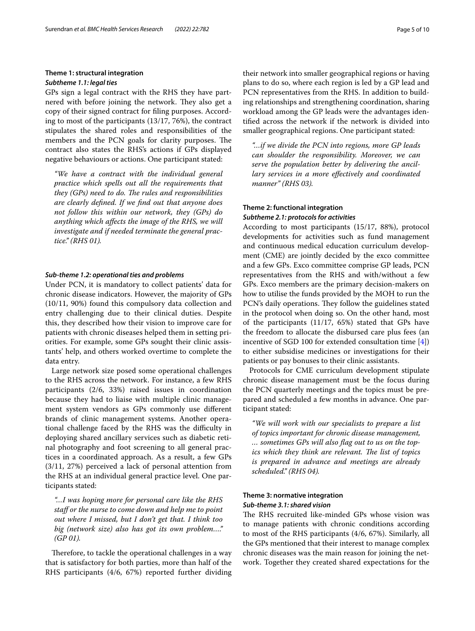## **Theme 1: structural integration** *Subtheme 1.1: legal ties*

GPs sign a legal contract with the RHS they have partnered with before joining the network. They also get a copy of their signed contract for fling purposes. According to most of the participants (13/17, 76%), the contract stipulates the shared roles and responsibilities of the members and the PCN goals for clarity purposes. The contract also states the RHS's actions if GPs displayed negative behaviours or actions. One participant stated:

*"We have a contract with the individual general practice which spells out all the requirements that they (GPs) need to do. The rules and responsibilities are clearly defned. If we fnd out that anyone does not follow this within our network, they (GPs) do anything which afects the image of the RHS, we will investigate and if needed terminate the general practice." (RHS 01).*

## *Sub‑theme 1.2: operational ties and problems*

Under PCN, it is mandatory to collect patients' data for chronic disease indicators. However, the majority of GPs (10/11, 90%) found this compulsory data collection and entry challenging due to their clinical duties. Despite this, they described how their vision to improve care for patients with chronic diseases helped them in setting priorities. For example, some GPs sought their clinic assistants' help, and others worked overtime to complete the data entry.

Large network size posed some operational challenges to the RHS across the network. For instance, a few RHS participants (2/6, 33%) raised issues in coordination because they had to liaise with multiple clinic management system vendors as GPs commonly use diferent brands of clinic management systems. Another operational challenge faced by the RHS was the difculty in deploying shared ancillary services such as diabetic retinal photography and foot screening to all general practices in a coordinated approach. As a result, a few GPs (3/11, 27%) perceived a lack of personal attention from the RHS at an individual general practice level. One participants stated:

*"…I was hoping more for personal care like the RHS staf or the nurse to come down and help me to point out where I missed, but I don't get that. I think too big (network size) also has got its own problem…." (GP 01).*

Therefore, to tackle the operational challenges in a way that is satisfactory for both parties, more than half of the RHS participants (4/6, 67%) reported further dividing their network into smaller geographical regions or having plans to do so, where each region is led by a GP lead and PCN representatives from the RHS. In addition to building relationships and strengthening coordination, sharing workload among the GP leads were the advantages identifed across the network if the network is divided into smaller geographical regions. One participant stated:

*"…if we divide the PCN into regions, more GP leads can shoulder the responsibility. Moreover, we can serve the population better by delivering the ancillary services in a more efectively and coordinated manner" (RHS 03).*

## **Theme 2: functional integration** *Subtheme 2.1: protocols for activities*

According to most participants (15/17, 88%), protocol developments for activities such as fund management and continuous medical education curriculum development (CME) are jointly decided by the exco committee and a few GPs. Exco committee comprise GP leads, PCN representatives from the RHS and with/without a few GPs. Exco members are the primary decision-makers on how to utilise the funds provided by the MOH to run the PCN's daily operations. They follow the guidelines stated in the protocol when doing so. On the other hand, most of the participants (11/17, 65%) stated that GPs have the freedom to allocate the disbursed care plus fees (an incentive of SGD 100 for extended consultation time [\[4](#page-8-3)]) to either subsidise medicines or investigations for their patients or pay bonuses to their clinic assistants.

Protocols for CME curriculum development stipulate chronic disease management must be the focus during the PCN quarterly meetings and the topics must be prepared and scheduled a few months in advance. One participant stated:

*"We will work with our specialists to prepare a list of topics important for chronic disease management, … sometimes GPs will also fag out to us on the topics which they think are relevant. The list of topics is prepared in advance and meetings are already scheduled." (RHS 04).*

## **Theme 3: normative integration** *Sub‑theme 3.1: shared vision*

The RHS recruited like-minded GPs whose vision was to manage patients with chronic conditions according to most of the RHS participants (4/6, 67%). Similarly, all the GPs mentioned that their interest to manage complex chronic diseases was the main reason for joining the network. Together they created shared expectations for the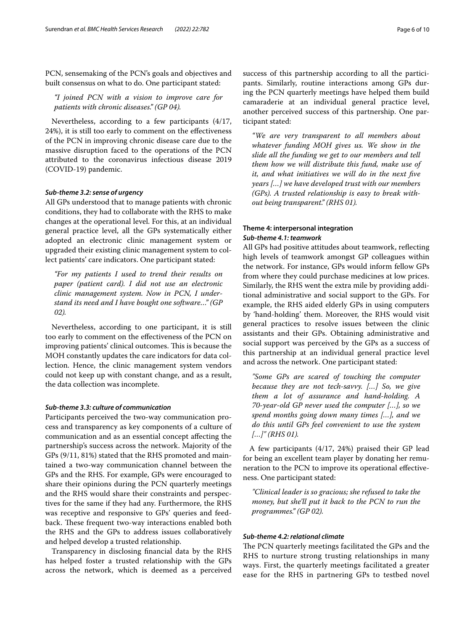PCN, sensemaking of the PCN's goals and objectives and built consensus on what to do. One participant stated:

*"I joined PCN with a vision to improve care for patients with chronic diseases." (GP 04).*

Nevertheless, according to a few participants (4/17, 24%), it is still too early to comment on the efectiveness of the PCN in improving chronic disease care due to the massive disruption faced to the operations of the PCN attributed to the coronavirus infectious disease 2019 (COVID-19) pandemic.

## *Sub‑theme 3.2: sense of urgency*

All GPs understood that to manage patients with chronic conditions, they had to collaborate with the RHS to make changes at the operational level. For this, at an individual general practice level, all the GPs systematically either adopted an electronic clinic management system or upgraded their existing clinic management system to collect patients' care indicators. One participant stated:

*"For my patients I used to trend their results on paper (patient card). I did not use an electronic clinic management system. Now in PCN, I understand its need and I have bought one software…" (GP 02).*

Nevertheless, according to one participant, it is still too early to comment on the efectiveness of the PCN on improving patients' clinical outcomes. This is because the MOH constantly updates the care indicators for data collection. Hence, the clinic management system vendors could not keep up with constant change, and as a result, the data collection was incomplete.

#### *Sub‑theme 3.3: culture of communication*

Participants perceived the two-way communication process and transparency as key components of a culture of communication and as an essential concept afecting the partnership's success across the network. Majority of the GPs (9/11, 81%) stated that the RHS promoted and maintained a two-way communication channel between the GPs and the RHS. For example, GPs were encouraged to share their opinions during the PCN quarterly meetings and the RHS would share their constraints and perspectives for the same if they had any. Furthermore, the RHS was receptive and responsive to GPs' queries and feedback. These frequent two-way interactions enabled both the RHS and the GPs to address issues collaboratively and helped develop a trusted relationship.

Transparency in disclosing fnancial data by the RHS has helped foster a trusted relationship with the GPs across the network, which is deemed as a perceived success of this partnership according to all the participants. Similarly, routine interactions among GPs during the PCN quarterly meetings have helped them build camaraderie at an individual general practice level, another perceived success of this partnership. One participant stated:

*"We are very transparent to all members about whatever funding MOH gives us. We show in the slide all the funding we get to our members and tell them how we will distribute this fund, make use of it, and what initiatives we will do in the next fve years […] we have developed trust with our members (GPs). A trusted relationship is easy to break without being transparent." (RHS 01).*

## **Theme 4: interpersonal integration** *Sub‑theme 4.1: teamwork*

All GPs had positive attitudes about teamwork, refecting high levels of teamwork amongst GP colleagues within the network. For instance, GPs would inform fellow GPs from where they could purchase medicines at low prices. Similarly, the RHS went the extra mile by providing additional administrative and social support to the GPs. For example, the RHS aided elderly GPs in using computers by 'hand-holding' them. Moreover, the RHS would visit general practices to resolve issues between the clinic assistants and their GPs. Obtaining administrative and social support was perceived by the GPs as a success of this partnership at an individual general practice level and across the network. One participant stated:

*"Some GPs are scared of touching the computer because they are not tech-savvy. […] So, we give them a lot of assurance and hand-holding. A 70-year-old GP never used the computer […], so we spend months going down many times […], and we do this until GPs feel convenient to use the system […]" (RHS 01).*

A few participants (4/17, 24%) praised their GP lead for being an excellent team player by donating her remuneration to the PCN to improve its operational efectiveness. One participant stated:

*"Clinical leader is so gracious; she refused to take the money, but she'll put it back to the PCN to run the programmes." (GP 02).*

## *Sub‑theme 4.2: relational climate*

The PCN quarterly meetings facilitated the GPs and the RHS to nurture strong trusting relationships in many ways. First, the quarterly meetings facilitated a greater ease for the RHS in partnering GPs to testbed novel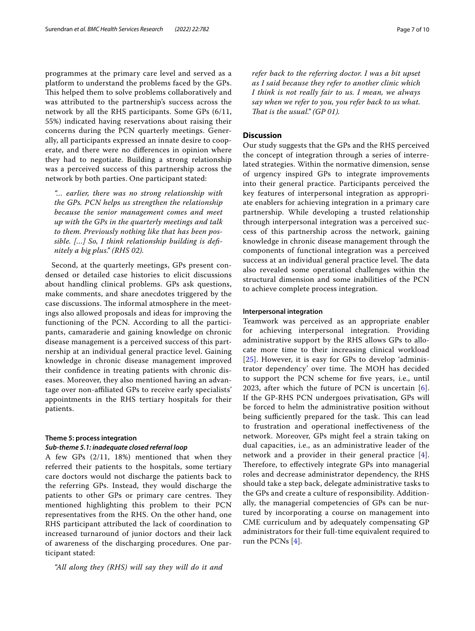programmes at the primary care level and served as a platform to understand the problems faced by the GPs. This helped them to solve problems collaboratively and was attributed to the partnership's success across the network by all the RHS participants. Some GPs (6/11, 55%) indicated having reservations about raising their concerns during the PCN quarterly meetings. Generally, all participants expressed an innate desire to cooperate, and there were no diferences in opinion where they had to negotiate. Building a strong relationship was a perceived success of this partnership across the network by both parties. One participant stated:

*"… earlier, there was no strong relationship with the GPs. PCN helps us strengthen the relationship because the senior management comes and meet up with the GPs in the quarterly meetings and talk to them. Previously nothing like that has been possible. […] So, I think relationship building is defnitely a big plus." (RHS 02).*

Second, at the quarterly meetings, GPs present condensed or detailed case histories to elicit discussions about handling clinical problems. GPs ask questions, make comments, and share anecdotes triggered by the case discussions. The informal atmosphere in the meetings also allowed proposals and ideas for improving the functioning of the PCN. According to all the participants, camaraderie and gaining knowledge on chronic disease management is a perceived success of this partnership at an individual general practice level. Gaining knowledge in chronic disease management improved their confdence in treating patients with chronic diseases. Moreover, they also mentioned having an advantage over non-afliated GPs to receive early specialists' appointments in the RHS tertiary hospitals for their patients.

#### **Theme 5: process integration**

#### *Sub‑theme 5.1: inadequate closed referral loop*

A few GPs (2/11, 18%) mentioned that when they referred their patients to the hospitals, some tertiary care doctors would not discharge the patients back to the referring GPs. Instead, they would discharge the patients to other GPs or primary care centres. They mentioned highlighting this problem to their PCN representatives from the RHS. On the other hand, one RHS participant attributed the lack of coordination to increased turnaround of junior doctors and their lack of awareness of the discharging procedures. One participant stated:

*"All along they (RHS) will say they will do it and* 

*refer back to the referring doctor. I was a bit upset as I said because they refer to another clinic which I think is not really fair to us. I mean, we always say when we refer to you, you refer back to us what. That is the usual." (GP 01).* 

## **Discussion**

Our study suggests that the GPs and the RHS perceived the concept of integration through a series of interrelated strategies. Within the normative dimension, sense of urgency inspired GPs to integrate improvements into their general practice. Participants perceived the key features of interpersonal integration as appropriate enablers for achieving integration in a primary care partnership. While developing a trusted relationship through interpersonal integration was a perceived success of this partnership across the network, gaining knowledge in chronic disease management through the components of functional integration was a perceived success at an individual general practice level. The data also revealed some operational challenges within the structural dimension and some inabilities of the PCN to achieve complete process integration.

#### **Interpersonal integration**

Teamwork was perceived as an appropriate enabler for achieving interpersonal integration. Providing administrative support by the RHS allows GPs to allocate more time to their increasing clinical workload [[25](#page-9-10)]. However, it is easy for GPs to develop 'administrator dependency' over time. The MOH has decided to support the PCN scheme for fve years, i.e., until 2023, after which the future of PCN is uncertain [[6](#page-8-4)]. If the GP-RHS PCN undergoes privatisation, GPs will be forced to helm the administrative position without being sufficiently prepared for the task. This can lead to frustration and operational inefectiveness of the network. Moreover, GPs might feel a strain taking on dual capacities, i.e., as an administrative leader of the network and a provider in their general practice [[4](#page-8-3)]. Therefore, to effectively integrate GPs into managerial roles and decrease administrator dependency, the RHS should take a step back, delegate administrative tasks to the GPs and create a culture of responsibility. Additionally, the managerial competencies of GPs can be nurtured by incorporating a course on management into CME curriculum and by adequately compensating GP administrators for their full-time equivalent required to run the PCNs [\[4](#page-8-3)].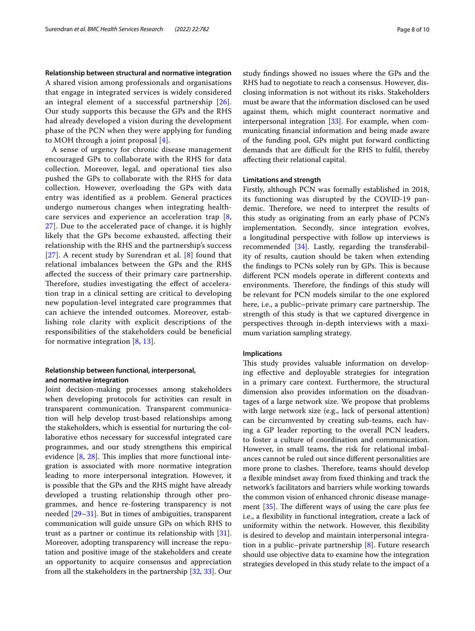**Relationship between structural and normative integration** A shared vision among professionals and organisations that engage in integrated services is widely considered an integral element of a successful partnership [[26\]](#page-9-11). Our study supports this because the GPs and the RHS had already developed a vision during the development phase of the PCN when they were applying for funding to MOH through a joint proposal [[4\]](#page-8-3).

A sense of urgency for chronic disease management encouraged GPs to collaborate with the RHS for data collection. Moreover, legal, and operational ties also pushed the GPs to collaborate with the RHS for data collection. However, overloading the GPs with data entry was identifed as a problem. General practices undergo numerous changes when integrating healthcare services and experience an acceleration trap [\[8](#page-8-6), [27\]](#page-9-12). Due to the accelerated pace of change, it is highly likely that the GPs become exhausted, afecting their relationship with the RHS and the partnership's success [[27](#page-9-12)]. A recent study by Surendran et al. [[8](#page-8-6)] found that relational imbalances between the GPs and the RHS afected the success of their primary care partnership. Therefore, studies investigating the effect of acceleration trap in a clinical setting are critical to developing new population-level integrated care programmes that can achieve the intended outcomes. Moreover, establishing role clarity with explicit descriptions of the responsibilities of the stakeholders could be benefcial for normative integration  $[8, 13]$  $[8, 13]$  $[8, 13]$  $[8, 13]$ .

## **Relationship between functional, interpersonal, and normative integration**

Joint decision-making processes among stakeholders when developing protocols for activities can result in transparent communication. Transparent communication will help develop trust-based relationships among the stakeholders, which is essential for nurturing the collaborative ethos necessary for successful integrated care programmes, and our study strengthens this empirical evidence  $[8, 28]$  $[8, 28]$  $[8, 28]$  $[8, 28]$ . This implies that more functional integration is associated with more normative integration leading to more interpersonal integration. However, it is possible that the GPs and the RHS might have already developed a trusting relationship through other programmes, and hence re-fostering transparency is not needed [\[29](#page-9-14)[–31](#page-9-15)]. But in times of ambiguities, transparent communication will guide unsure GPs on which RHS to trust as a partner or continue its relationship with [\[31](#page-9-15)]. Moreover, adopting transparency will increase the reputation and positive image of the stakeholders and create an opportunity to acquire consensus and appreciation from all the stakeholders in the partnership [\[32,](#page-9-16) [33\]](#page-9-17). Our study fndings showed no issues where the GPs and the RHS had to negotiate to reach a consensus. However, disclosing information is not without its risks. Stakeholders must be aware that the information disclosed can be used against them, which might counteract normative and interpersonal integration  $[33]$  $[33]$ . For example, when communicating fnancial information and being made aware of the funding pool, GPs might put forward conficting demands that are difficult for the RHS to fulfil, thereby afecting their relational capital.

#### **Limitations and strength**

Firstly, although PCN was formally established in 2018, its functioning was disrupted by the COVID-19 pandemic. Therefore, we need to interpret the results of this study as originating from an early phase of PCN's implementation. Secondly, since integration evolves, a longitudinal perspective with follow up interviews is recommended [[34\]](#page-9-18). Lastly, regarding the transferability of results, caution should be taken when extending the findings to PCNs solely run by GPs. This is because diferent PCN models operate in diferent contexts and environments. Therefore, the findings of this study will be relevant for PCN models similar to the one explored here, i.e., a public–private primary care partnership. The strength of this study is that we captured divergence in perspectives through in-depth interviews with a maximum variation sampling strategy.

## **Implications**

This study provides valuable information on developing efective and deployable strategies for integration in a primary care context. Furthermore, the structural dimension also provides information on the disadvantages of a large network size. We propose that problems with large network size (e.g., lack of personal attention) can be circumvented by creating sub-teams, each having a GP leader reporting to the overall PCN leaders, to foster a culture of coordination and communication. However, in small teams, the risk for relational imbalances cannot be ruled out since diferent personalities are more prone to clashes. Therefore, teams should develop a fexible mindset away from fxed thinking and track the network's facilitators and barriers while working towards the common vision of enhanced chronic disease management  $[35]$  $[35]$ . The different ways of using the care plus fee i.e., a fexibility in functional integration, create a lack of uniformity within the network. However, this fexibility is desired to develop and maintain interpersonal integration in a public–private partnership [\[8](#page-8-6)]. Future research should use objective data to examine how the integration strategies developed in this study relate to the impact of a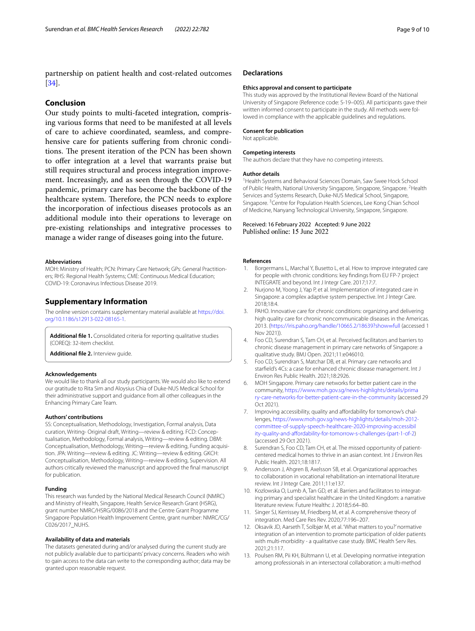partnership on patient health and cost-related outcomes [[34\]](#page-9-18).

## **Conclusion**

Our study points to multi-faceted integration, comprising various forms that need to be manifested at all levels of care to achieve coordinated, seamless, and comprehensive care for patients sufering from chronic conditions. The present iteration of the PCN has been shown to ofer integration at a level that warrants praise but still requires structural and process integration improvement. Increasingly, and as seen through the COVID-19 pandemic, primary care has become the backbone of the healthcare system. Therefore, the PCN needs to explore the incorporation of infectious diseases protocols as an additional module into their operations to leverage on pre-existing relationships and integrative processes to manage a wider range of diseases going into the future.

#### **Abbreviations**

MOH: Ministry of Health; PCN: Primary Care Network; GPs: General Practitioners; RHS: Regional Health Systems; CME: Continuous Medical Education; COVID-19: Coronavirus Infectious Disease 2019.

#### **Supplementary Information**

The online version contains supplementary material available at [https://doi.](https://doi.org/10.1186/s12913-022-08165-1) [org/10.1186/s12913-022-08165-1](https://doi.org/10.1186/s12913-022-08165-1).

<span id="page-8-11"></span><span id="page-8-10"></span>**Additional fle 1.** Consolidated criteria for reporting qualitative studies (COREQ): 32-item checklist.

**Additional fle 2.** Interview guide.

#### **Acknowledgements**

We would like to thank all our study participants. We would also like to extend our gratitude to Rita Sim and Aloysius Chia of Duke-NUS Medical School for their administrative support and guidance from all other colleagues in the Enhancing Primary Care Team.

#### **Authors' contributions**

SS: Conceptualisation, Methodology, Investigation, Formal analysis, Data curation, Writing- Original draft, Writing—review & editing. FCD: Conceptualisation, Methodology, Formal analysis, Writing—review & editing. DBM: Conceptualisation, Methodology, Writing—review & editing, Funding acquisition. JPA: Writing—review & editing. JC: Writing—review & editing. GKCH: Conceptualisation, Methodology, Writing—review & editing, Supervision. All authors critically reviewed the manuscript and approved the fnal manuscript for publication.

#### **Funding**

This research was funded by the National Medical Research Council (NMRC) and Ministry of Health, Singapore, Health Service Research Grant (HSRG), grant number NMRC/HSRG/0086/2018 and the Centre Grant Programme Singapore Population Health Improvement Centre, grant number: NMRC/CG/ C026/2017\_NUHS.

#### **Availability of data and materials**

The datasets generated during and/or analysed during the current study are not publicly available due to participants' privacy concerns. Readers who wish to gain access to the data can write to the corresponding author; data may be granted upon reasonable request.

#### **Declarations**

#### **Ethics approval and consent to participate**

This study was approved by the Institutional Review Board of the National University of Singapore (Reference code: S-19–005). All participants gave their written informed consent to participate in the study. All methods were followed in compliance with the applicable guidelines and regulations.

#### **Consent for publication**

Not applicable.

#### **Competing interests**

The authors declare that they have no competing interests.

#### **Author details**

<sup>1</sup> Health Systems and Behavioral Sciences Domain, Saw Swee Hock School of Public Health, National University Singapore, Singapore, Singapore. <sup>2</sup> Health Services and Systems Research, Duke-NUS Medical School, Singapore, Singapore.<sup>3</sup> Centre for Population Health Sciences, Lee Kong Chian School of Medicine, Nanyang Technological University, Singapore, Singapore.

Received: 16 February 2022 Accepted: 9 June 2022 Published online: 15 June 2022

#### **References**

- <span id="page-8-0"></span>Borgermans L, Marchal Y, Busetto L, et al. How to improve integrated care for people with chronic conditions: key fndings from EU FP-7 project INTEGRATE and beyond. Int J Integr Care. 2017;17:7.
- <span id="page-8-1"></span>2. Nurjono M, Yoong J, Yap P, et al. Implementation of integrated care in Singapore: a complex adaptive system perspective. Int J Integr Care. 2018;18:4.
- <span id="page-8-2"></span>3. PAHO. Innovative care for chronic conditions: organizing and delivering high quality care for chronic noncommunicable diseases in the Americas. 2013. [\(https://iris.paho.org/handle/10665.2/18639?show](https://iris.paho.org/handle/10665.2/18639?show=full)=full (accessed 1 Nov 2021)).
- <span id="page-8-3"></span>4. Foo CD, Surendran S, Tam CH, et al. Perceived facilitators and barriers to chronic disease management in primary care networks of Singapore: a qualitative study. BMJ Open. 2021;11:e046010.
- 5. Foo CD, Surendran S, Matchar DB, et al. Primary care networks and starfeld's 4Cs: a case for enhanced chronic disease management. Int J Environ Res Public Health. 2021;18:2926.
- <span id="page-8-4"></span>6. MOH Singapore. Primary care networks for better patient care in the community, [https://www.moh.gov.sg/news-highlights/details/prima](https://www.moh.gov.sg/news-highlights/details/primary-care-networks-for-better-patient-care-in-the-community) [ry-care-networks-for-better-patient-care-in-the-community](https://www.moh.gov.sg/news-highlights/details/primary-care-networks-for-better-patient-care-in-the-community) (accessed 29 Oct 2021).
- <span id="page-8-5"></span>7. Improving accessibility, quality and affordability for tomorrow's challenges, [https://www.moh.gov.sg/news-highlights/details/moh-2012](https://www.moh.gov.sg/news-highlights/details/moh-2012-committee-of-supply-speech-healthcare-2020-improving-accessibility-quality-and-affordability-for-tomorrow-s-challenges-(part-1-of-2) [committee-of-supply-speech-healthcare-2020-improving-accessibil](https://www.moh.gov.sg/news-highlights/details/moh-2012-committee-of-supply-speech-healthcare-2020-improving-accessibility-quality-and-affordability-for-tomorrow-s-challenges-(part-1-of-2) ity-quality-and-affordability-for-tomorrow-s-challenges-(part-1-of-2) (accessed 29 Oct 2021).
- <span id="page-8-6"></span>Surendran S, Foo CD, Tam CH, et al. The missed opportunity of patientcentered medical homes to thrive in an asian context. Int J Environ Res Public Health. 2021;18:1817.
- 9. Andersson J, Ahgren B, Axelsson SB, et al. Organizational approaches to collaboration in vocational rehabilitation-an international literature review. Int J Integr Care. 2011;11:e137.
- <span id="page-8-7"></span>10. Kozlowska O, Lumb A, Tan GD, et al. Barriers and facilitators to integrating primary and specialist healthcare in the United Kingdom: a narrative literature review. Future Healthc J. 2018;5:64–80.
- <span id="page-8-8"></span>11. Singer SJ, Kerrissey M, Friedberg M, et al. A comprehensive theory of integration. Med Care Res Rev. 2020;77:196–207.
- <span id="page-8-9"></span>12. Oksavik JD, Aarseth T, Solbjør M, et al. 'What matters to you?' normative integration of an intervention to promote participation of older patients with multi-morbidity - a qualitative case study. BMC Health Serv Res. 2021;21:117.
- <span id="page-8-12"></span>13. Poulsen RM, Pii KH, Bültmann U, et al. Developing normative integration among professionals in an intersectoral collaboration: a multi-method